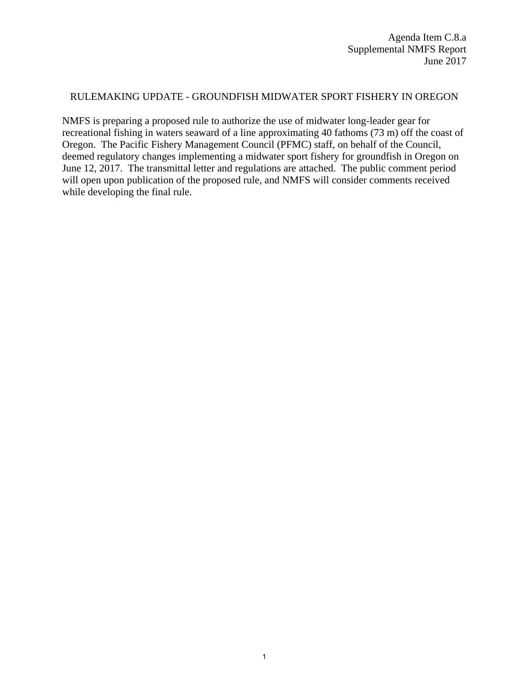## RULEMAKING UPDATE - GROUNDFISH MIDWATER SPORT FISHERY IN OREGON

NMFS is preparing a proposed rule to authorize the use of midwater long-leader gear for recreational fishing in waters seaward of a line approximating 40 fathoms (73 m) off the coast of Oregon. The Pacific Fishery Management Council (PFMC) staff, on behalf of the Council, deemed regulatory changes implementing a midwater sport fishery for groundfish in Oregon on June 12, 2017. The transmittal letter and regulations are attached. The public comment period will open upon publication of the proposed rule, and NMFS will consider comments received while developing the final rule.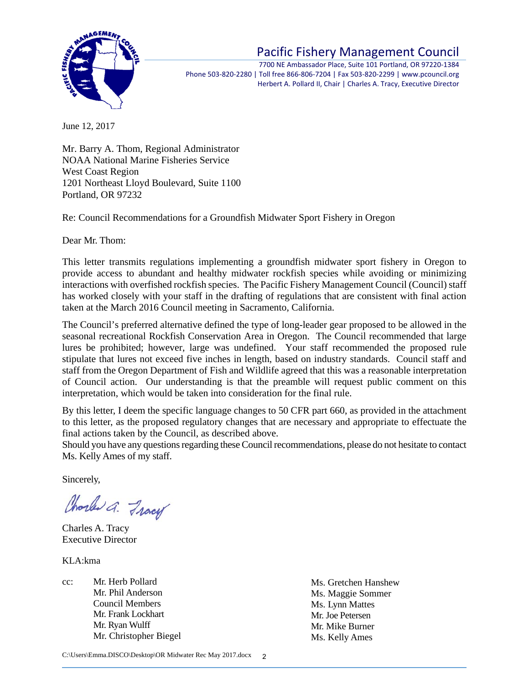

## Pacific Fishery Management Council

7700 NE Ambassador Place, Suite 101 Portland, OR 97220‐1384 Phone 503‐820‐2280 | Toll free 866‐806‐7204 | Fax 503‐820‐2299 | www.pcouncil.org Herbert A. Pollard II, Chair | Charles A. Tracy, Executive Director

June 12, 2017

Mr. Barry A. Thom, Regional Administrator NOAA National Marine Fisheries Service West Coast Region 1201 Northeast Lloyd Boulevard, Suite 1100 Portland, OR 97232

Re: Council Recommendations for a Groundfish Midwater Sport Fishery in Oregon

Dear Mr. Thom:

This letter transmits regulations implementing a groundfish midwater sport fishery in Oregon to provide access to abundant and healthy midwater rockfish species while avoiding or minimizing interactions with overfished rockfish species. The Pacific Fishery Management Council (Council) staff has worked closely with your staff in the drafting of regulations that are consistent with final action taken at the March 2016 Council meeting in Sacramento, California.

The Council's preferred alternative defined the type of long-leader gear proposed to be allowed in the seasonal recreational Rockfish Conservation Area in Oregon. The Council recommended that large lures be prohibited; however, large was undefined. Your staff recommended the proposed rule stipulate that lures not exceed five inches in length, based on industry standards. Council staff and staff from the Oregon Department of Fish and Wildlife agreed that this was a reasonable interpretation of Council action. Our understanding is that the preamble will request public comment on this interpretation, which would be taken into consideration for the final rule.

By this letter, I deem the specific language changes to 50 CFR part 660, as provided in the attachment to this letter, as the proposed regulatory changes that are necessary and appropriate to effectuate the final actions taken by the Council, as described above.

Should you have any questions regarding these Council recommendations, please do not hesitate to contact Ms. Kelly Ames of my staff.

Sincerely,

Charles a. Fracy

Charles A. Tracy Executive Director

KLA:kma

cc: Mr. Herb Pollard Mr. Phil Anderson Council Members Mr. Frank Lockhart Mr. Ryan Wulff Mr. Christopher Biegel Ms. Gretchen Hanshew Ms. Maggie Sommer Ms. Lynn Mattes Mr. Joe Petersen Mr. Mike Burner Ms. Kelly Ames

C:\Users\Emma.DISCO\Desktop\OR Midwater Rec May 2017.docx  $\mathfrak{2}$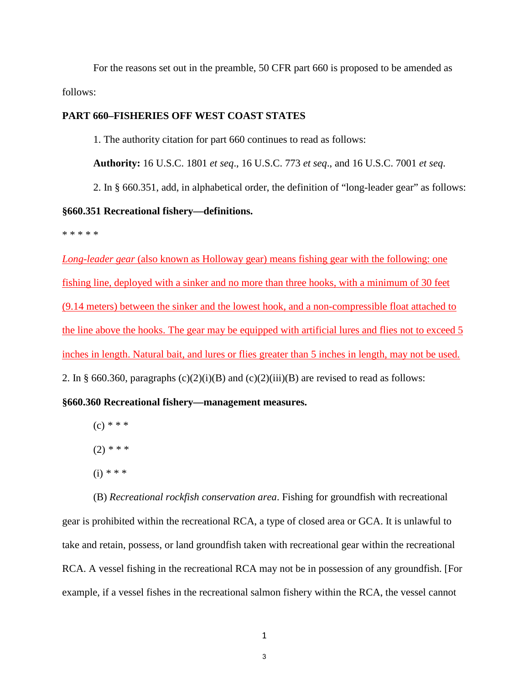For the reasons set out in the preamble, 50 CFR part 660 is proposed to be amended as follows:

## **PART 660–FISHERIES OFF WEST COAST STATES**

1. The authority citation for part 660 continues to read as follows:

**Authority:** 16 U.S.C. 1801 *et seq*., 16 U.S.C. 773 *et seq*., and 16 U.S.C. 7001 *et seq*.

2. In § 660.351, add, in alphabetical order, the definition of "long-leader gear" as follows:

## **§660.351 Recreational fishery—definitions.**

\* \* \* \* \*

*Long-leader gear* (also known as Holloway gear) means fishing gear with the following: one fishing line, deployed with a sinker and no more than three hooks, with a minimum of 30 feet (9.14 meters) between the sinker and the lowest hook, and a non-compressible float attached to the line above the hooks. The gear may be equipped with artificial lures and flies not to exceed 5 inches in length. Natural bait, and lures or flies greater than 5 inches in length, may not be used. 2. In § 660.360, paragraphs  $(c)(2)(i)(B)$  and  $(c)(2)(iii)(B)$  are revised to read as follows:

**§660.360 Recreational fishery—management measures.**

- (c) *\* \* \**
- (2) *\* \* \**
- (i) *\* \* \**

(B) *Recreational rockfish conservation area*. Fishing for groundfish with recreational gear is prohibited within the recreational RCA, a type of closed area or GCA. It is unlawful to take and retain, possess, or land groundfish taken with recreational gear within the recreational RCA. A vessel fishing in the recreational RCA may not be in possession of any groundfish. [For example, if a vessel fishes in the recreational salmon fishery within the RCA, the vessel cannot